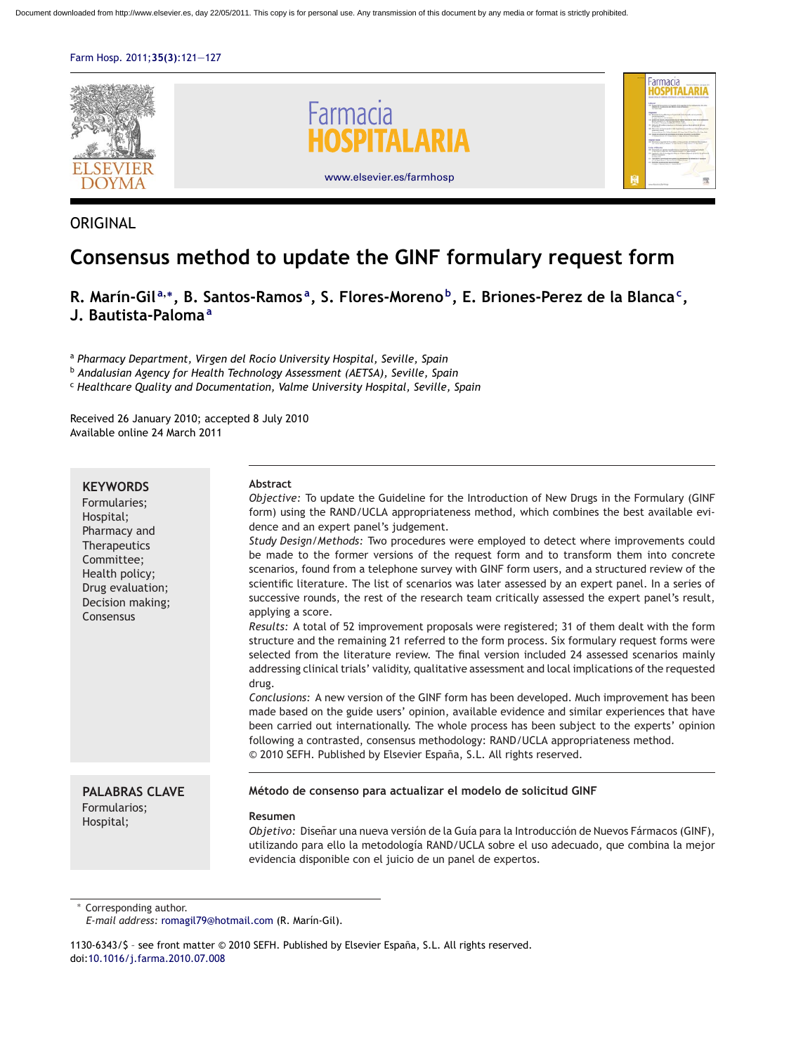



# **ORIGINAL**

# **Consensus method to update the GINF formulary request form**

# **R. Marín-Gil <sup>a</sup>,∗, B. Santos-Ramos a, S. Flores-Moreno b, E. Briones-Perez de la Blancac, J. Bautista-Paloma<sup>a</sup>**

<sup>a</sup> *Pharmacy Department, Virgen del Rocío University Hospital, Seville, Spain*

<sup>b</sup> *Andalusian Agency for Health Technology Assessment (AETSA), Seville, Spain*

<sup>c</sup> *Healthcare Quality and Documentation, Valme University Hospital, Seville, Spain*

**Abstract**

Received 26 January 2010; accepted 8 July 2010 Available online 24 March 2011

## **KEYWORDS**

#### Formularies; Hospital; Pharmacy and Therapeutics Committee; Health policy; Drug evaluation; Decision making; Consensus *Objective:* To update the Guideline for the Introduction of New Drugs in the Formulary (GINF form) using the RAND/UCLA appropriateness method, which combines the best available evidence and an expert panel's judgement. *Study Design/Methods:* Two procedures were employed to detect where improvements could be made to the former versions of the request form and to transform them into concrete scenarios, found from a telephone survey with GINF form users, and a structured review of the scientific literature. The list of scenarios was later assessed by an expert panel. In a series of successive rounds, the rest of the research team critically assessed the expert panel's result, applying a score. *Results:* A total of 52 improvement proposals were registered; 31 of them dealt with the form structure and the remaining 21 referred to the form process. Six formulary request forms were selected from the literature review. The final version included 24 assessed scenarios mainly addressing clinical trials' validity, qualitative assessment and local implications of the requested drug. *Conclusions:* A new version of the GINF form has been developed. Much improvement has been made based on the guide users' opinion, available evidence and similar experiences that have been carried out internationally. The whole process has been subject to the experts' opinion following a contrasted, consensus methodology: RAND/UCLA appropriateness method. © 2010 SEFH. Published by Elsevier España, S.L. All rights reserved. **PALABRAS CLAVE Método de consenso para actualizar el modelo de solicitud GINF Resumen** *Objetivo:* Diseñar una nueva versión de la Guía para la Introducción de Nuevos Fármacos (GINF), utilizando para ello la metodología RAND/UCLA sobre el uso adecuado, que combina la mejor

evidencia disponible con el juicio de un panel de expertos.

Formularios; Hospital;

∗ Corresponding author.

*E-mail address:* [romagil79@hotmail.com](mailto:romagil79@hotmail.com) (R. Marín-Gil).

1130-6343/\$ – see front matter © 2010 SEFH. Published by Elsevier España, S.L. All rights reserved. doi[:10.1016/j.farma.2010.07.008](dx.doi.org/10.1016/j.farma.2010.07.008)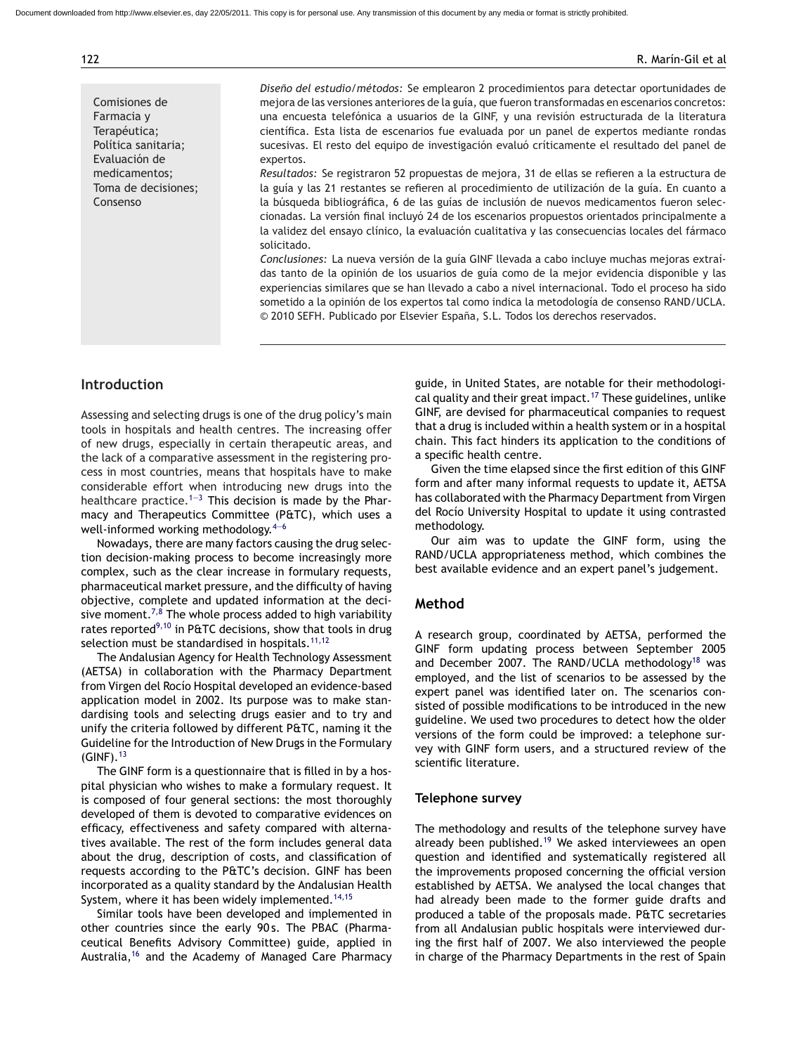Comisiones de Farmacia y Terapéutica; Política sanitaria; Evaluación de medicamentos; Toma de decisiones; Consenso

*Diseno del estudio/métodos: ˜* Se emplearon 2 procedimientos para detectar oportunidades de mejora de las versiones anteriores de la guía, que fueron transformadas en escenarios concretos: una encuesta telefónica a usuarios de la GINF, y una revisión estructurada de la literatura científica. Esta lista de escenarios fue evaluada por un panel de expertos mediante rondas

expertos. *Resultados:* Se registraron 52 propuestas de mejora, 31 de ellas se refieren a la estructura de la guía y las 21 restantes se refieren al procedimiento de utilización de la guía. En cuanto a la búsqueda bibliográfica, 6 de las guías de inclusión de nuevos medicamentos fueron seleccionadas. La versión final incluyó 24 de los escenarios propuestos orientados principalmente a la validez del ensayo clínico, la evaluación cualitativa y las consecuencias locales del fármaco solicitado.

sucesivas. El resto del equipo de investigación evaluó críticamente el resultado del panel de

*Conclusiones:* La nueva versión de la guía GINF llevada a cabo incluye muchas mejoras extraídas tanto de la opinión de los usuarios de guía como de la mejor evidencia disponible y las experiencias similares que se han llevado a cabo a nivel internacional. Todo el proceso ha sido sometido a la opinión de los expertos tal como indica la metodología de consenso RAND/UCLA. © 2010 SEFH. Publicado por Elsevier España, S.L. Todos los derechos reservados.

## **Introduction**

Assessing and selecting drugs is one of the drug policy's main tools in hospitals and health centres. The increasing offer of new drugs, especially in certain therapeutic areas, and the lack of a comparative assessment in the registering process in most countries, means that hospitals have to make considerable effort when introducing new drugs into the healthcare practice.<sup>1-3</sup> This decision is made by the Pharmacy and Therapeutics Committee (P&TC), which uses a well-informed working methodology.[4—6](#page-5-0)

Nowadays, there are many factors causing the drug selection decision-making process to become increasingly more complex, such as the clear increase in formulary requests, pharmaceutical market pressure, and the difficulty of having objective, complete and updated information at the deci-sive moment.<sup>[7,8](#page-5-0)</sup> The whole process added to high variability rates reported<sup>[9,10](#page-5-0)</sup> in P&TC decisions, show that tools in drug selection must be standardised in hospitals. $11,12$ 

The Andalusian Agency for Health Technology Assessment (AETSA) in collaboration with the Pharmacy Department from Virgen del Rocío Hospital developed an evidence-based application model in 2002. Its purpose was to make standardising tools and selecting drugs easier and to try and unify the criteria followed by different P&TC, naming it the Guideline for the Introduction of New Drugs in the Formulary  $(GINF).<sup>13</sup>$  $(GINF).<sup>13</sup>$  $(GINF).<sup>13</sup>$ 

The GINF form is a questionnaire that is filled in by a hospital physician who wishes to make a formulary request. It is composed of four general sections: the most thoroughly developed of them is devoted to comparative evidences on efficacy, effectiveness and safety compared with alternatives available. The rest of the form includes general data about the drug, description of costs, and classification of requests according to the P&TC's decision. GINF has been incorporated as a quality standard by the Andalusian Health System, where it has been widely implemented.<sup>[14,15](#page-6-0)</sup>

Similar tools have been developed and implemented in other countries since the early 90 s. The PBAC (Pharmaceutical Benefits Advisory Committee) guide, applied in Australia,[16](#page-6-0) and the Academy of Managed Care Pharmacy guide, in United States, are notable for their methodologi-cal quality and their great impact.<sup>[17](#page-6-0)</sup> These guidelines, unlike GINF, are devised for pharmaceutical companies to request that a drug is included within a health system or in a hospital chain. This fact hinders its application to the conditions of a specific health centre.

Given the time elapsed since the first edition of this GINF form and after many informal requests to update it, AETSA has collaborated with the Pharmacy Department from Virgen del Rocío University Hospital to update it using contrasted methodology.

Our aim was to update the GINF form, using the RAND/UCLA appropriateness method, which combines the best available evidence and an expert panel's judgement.

## **Method**

A research group, coordinated by AETSA, performed the GINF form updating process between September 2005 and December 2007. The RAND/UCLA methodology<sup>[18](#page-6-0)</sup> was employed, and the list of scenarios to be assessed by the expert panel was identified later on. The scenarios consisted of possible modifications to be introduced in the new guideline. We used two procedures to detect how the older versions of the form could be improved: a telephone survey with GINF form users, and a structured review of the scientific literature.

#### **Telephone survey**

The methodology and results of the telephone survey have already been published.<sup>[19](#page-6-0)</sup> We asked interviewees an open question and identified and systematically registered all the improvements proposed concerning the official version established by AETSA. We analysed the local changes that had already been made to the former guide drafts and produced a table of the proposals made. P&TC secretaries from all Andalusian public hospitals were interviewed during the first half of 2007. We also interviewed the people in charge of the Pharmacy Departments in the rest of Spain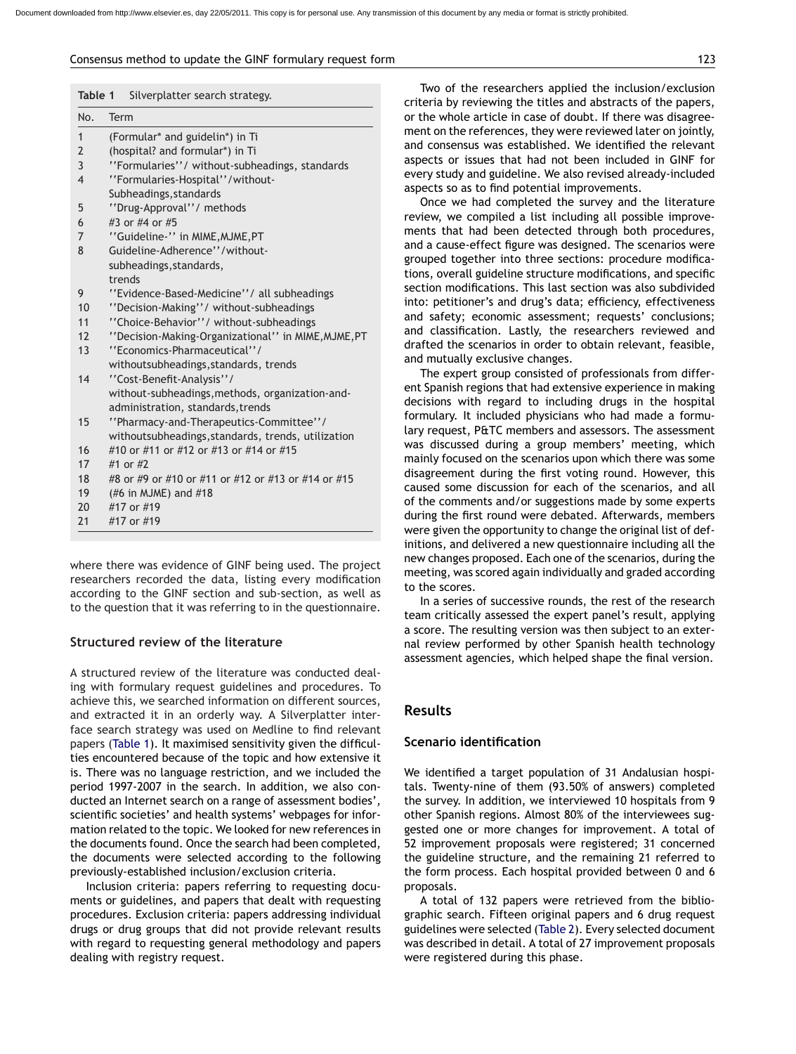wier.es, day 22/05/2011. This copy is for personal use. Any transmission of this document by any media or format is strictly prohibited.

#### Consensus method to update the GINF formulary request form 123

| Table 1 |  | Silverplatter search strategy. |  |
|---------|--|--------------------------------|--|
|---------|--|--------------------------------|--|

| No.                      | Term                                               |
|--------------------------|----------------------------------------------------|
| $\mathbf{1}$             | (Formular* and guidelin*) in Ti                    |
| $\overline{2}$           | (hospital? and formular*) in Ti                    |
| 3                        | "Formularies"/ without-subheadings, standards      |
| $\overline{\mathcal{A}}$ | "Formularies-Hospital"/without-                    |
|                          | Subheadings, standards                             |
| 5                        | "Drug-Approval"/ methods                           |
| 6                        | #3 or #4 or #5                                     |
| $\overline{7}$           | "Guideline-" in MIME, MJME, PT                     |
| 8                        | Guideline-Adherence"/without-                      |
|                          | subheadings, standards,                            |
|                          | trends                                             |
| 9                        | "Evidence-Based-Medicine"/ all subheadings         |
| 10                       | "Decision-Making"/ without-subheadings             |
| 11                       | "Choice-Behavior"/ without-subheadings             |
| 12                       | "Decision-Making-Organizational" in MIME, MJME, PT |
| 13                       | "Fconomics-Pharmaceutical"/                        |
|                          | withoutsubheadings, standards, trends              |
| 14                       | "Cost-Benefit-Analysis"/                           |
|                          | without-subheadings, methods, organization-and-    |
|                          | administration, standards, trends                  |
| 15                       | "Pharmacy-and-Therapeutics-Committee"/             |
|                          | withoutsubheadings, standards, trends, utilization |
| 16                       | #10 or #11 or #12 or #13 or #14 or #15             |
| 17                       | #1 or #2                                           |
| 18                       | #8 or #9 or #10 or #11 or #12 or #13 or #14 or #15 |
| 19                       | $(\#6$ in MJME) and $\#18$                         |
| 20                       | #17 or #19                                         |
| 21                       | #17 or #19                                         |

where there was evidence of GINF being used. The project researchers recorded the data, listing every modification according to the GINF section and sub-section, as well as to the question that it was referring to in the questionnaire.

## **Structured review of the literature**

A structured review of the literature was conducted dealing with formulary request guidelines and procedures. To achieve this, we searched information on different sources, and extracted it in an orderly way. A Silverplatter interface search strategy was used on Medline to find relevant papers (Table 1). It maximised sensitivity given the difficulties encountered because of the topic and how extensive it is. There was no language restriction, and we included the period 1997-2007 in the search. In addition, we also conducted an Internet search on a range of assessment bodies', scientific societies' and health systems' webpages for information related to the topic. We looked for new references in the documents found. Once the search had been completed, the documents were selected according to the following previously-established inclusion/exclusion criteria.

Inclusion criteria: papers referring to requesting documents or guidelines, and papers that dealt with requesting procedures. Exclusion criteria: papers addressing individual drugs or drug groups that did not provide relevant results with regard to requesting general methodology and papers dealing with registry request.

Two of the researchers applied the inclusion/exclusion criteria by reviewing the titles and abstracts of the papers, or the whole article in case of doubt. If there was disagreement on the references, they were reviewed later on jointly, and consensus was established. We identified the relevant aspects or issues that had not been included in GINF for every study and guideline. We also revised already-included aspects so as to find potential improvements.

Once we had completed the survey and the literature review, we compiled a list including all possible improvements that had been detected through both procedures, and a cause-effect figure was designed. The scenarios were grouped together into three sections: procedure modifications, overall guideline structure modifications, and specific section modifications. This last section was also subdivided into: petitioner's and drug's data; efficiency, effectiveness and safety; economic assessment; requests' conclusions; and classification. Lastly, the researchers reviewed and drafted the scenarios in order to obtain relevant, feasible, and mutually exclusive changes.

The expert group consisted of professionals from different Spanish regions that had extensive experience in making decisions with regard to including drugs in the hospital formulary. It included physicians who had made a formulary request, P&TC members and assessors. The assessment was discussed during a group members' meeting, which mainly focused on the scenarios upon which there was some disagreement during the first voting round. However, this caused some discussion for each of the scenarios, and all of the comments and/or suggestions made by some experts during the first round were debated. Afterwards, members were given the opportunity to change the original list of definitions, and delivered a new questionnaire including all the new changes proposed. Each one of the scenarios, during the meeting, was scored again individually and graded according to the scores.

In a series of successive rounds, the rest of the research team critically assessed the expert panel's result, applying a score. The resulting version was then subject to an external review performed by other Spanish health technology assessment agencies, which helped shape the final version.

## **Results**

#### **Scenario identification**

We identified a target population of 31 Andalusian hospitals. Twenty-nine of them (93.50% of answers) completed the survey. In addition, we interviewed 10 hospitals from 9 other Spanish regions. Almost 80% of the interviewees suggested one or more changes for improvement. A total of 52 improvement proposals were registered; 31 concerned the guideline structure, and the remaining 21 referred to the form process. Each hospital provided between 0 and 6 proposals.

A total of 132 papers were retrieved from the bibliographic search. Fifteen original papers and 6 drug request guidelines were selected ([Table 2\).](#page-3-0) Every selected document was described in detail. A total of 27 improvement proposals were registered during this phase.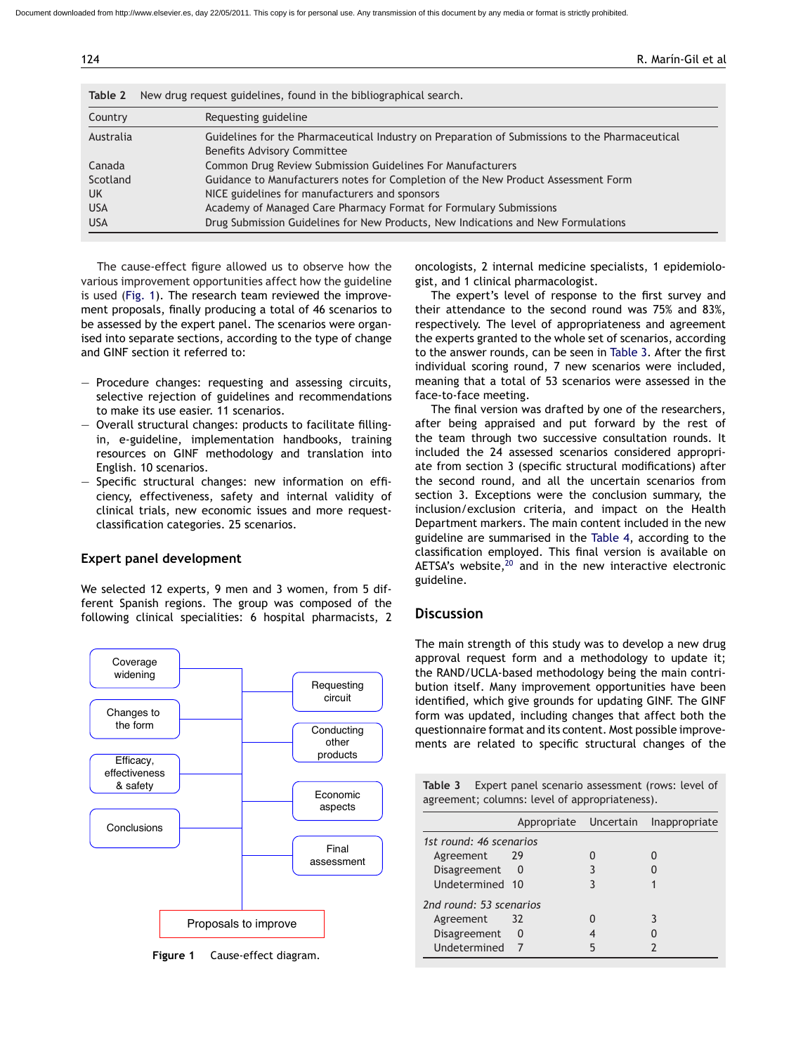<span id="page-3-0"></span>

| Table 2    | New drug request guidelines, found in the bibliographical search.                                                                    |  |  |
|------------|--------------------------------------------------------------------------------------------------------------------------------------|--|--|
| Country    | Requesting guideline                                                                                                                 |  |  |
| Australia  | Guidelines for the Pharmaceutical Industry on Preparation of Submissions to the Pharmaceutical<br><b>Benefits Advisory Committee</b> |  |  |
| Canada     | <b>Common Drug Review Submission Guidelines For Manufacturers</b>                                                                    |  |  |
| Scotland   | Guidance to Manufacturers notes for Completion of the New Product Assessment Form                                                    |  |  |
| <b>UK</b>  | NICE guidelines for manufacturers and sponsors                                                                                       |  |  |
| <b>USA</b> | Academy of Managed Care Pharmacy Format for Formulary Submissions                                                                    |  |  |
| <b>USA</b> | Drug Submission Guidelines for New Products, New Indications and New Formulations                                                    |  |  |

The cause-effect figure allowed us to observe how the various improvement opportunities affect how the guideline is used (Fig. 1). The research team reviewed the improvement proposals, finally producing a total of 46 scenarios to be assessed by the expert panel. The scenarios were organised into separate sections, according to the type of change and GINF section it referred to:

- Procedure changes: requesting and assessing circuits, selective rejection of guidelines and recommendations to make its use easier. 11 scenarios.
- Overall structural changes: products to facilitate fillingin, e-guideline, implementation handbooks, training resources on GINF methodology and translation into English. 10 scenarios.
- Specific structural changes: new information on efficiency, effectiveness, safety and internal validity of clinical trials, new economic issues and more requestclassification categories. 25 scenarios.

#### **Expert panel development**

We selected 12 experts, 9 men and 3 women, from 5 different Spanish regions. The group was composed of the following clinical specialities: 6 hospital pharmacists, 2



**Figure 1** Cause-effect diagram.

oncologists, 2 internal medicine specialists, 1 epidemiologist, and 1 clinical pharmacologist.

The expert's level of response to the first survey and their attendance to the second round was 75% and 83%, respectively. The level of appropriateness and agreement the experts granted to the whole set of scenarios, according to the answer rounds, can be seen in Table 3. After the first individual scoring round, 7 new scenarios were included, meaning that a total of 53 scenarios were assessed in the face-to-face meeting.

The final version was drafted by one of the researchers, after being appraised and put forward by the rest of the team through two successive consultation rounds. It included the 24 assessed scenarios considered appropriate from section 3 (specific structural modifications) after the second round, and all the uncertain scenarios from section 3. Exceptions were the conclusion summary, the inclusion/exclusion criteria, and impact on the Health Department markers. The main content included in the new guideline are summarised in the [Table 4,](#page-4-0) according to the classification employed. This final version is available on AETSA's website,<sup>[20](#page-6-0)</sup> and in the new interactive electronic guideline.

## **Discussion**

The main strength of this study was to develop a new drug approval request form and a methodology to update it; the RAND/UCLA-based methodology being the main contribution itself. Many improvement opportunities have been identified, which give grounds for updating GINF. The GINF form was updated, including changes that affect both the questionnaire format and its content. Most possible improvements are related to specific structural changes of the

| <b>Table 3</b> Expert panel scenario assessment (rows: level of |
|-----------------------------------------------------------------|
| agreement; columns: level of appropriateness).                  |

|                         | Appropriate Uncertain | Inappropriate |
|-------------------------|-----------------------|---------------|
| 1st round: 46 scenarios |                       |               |
| Agreement               | 29                    |               |
| Disagreement            | - 0                   |               |
| Undetermined 10         |                       |               |
| 2nd round: 53 scenarios |                       |               |
| Agreement               | 32                    |               |
| Disagreement            | 0                     |               |
| Undetermined            |                       |               |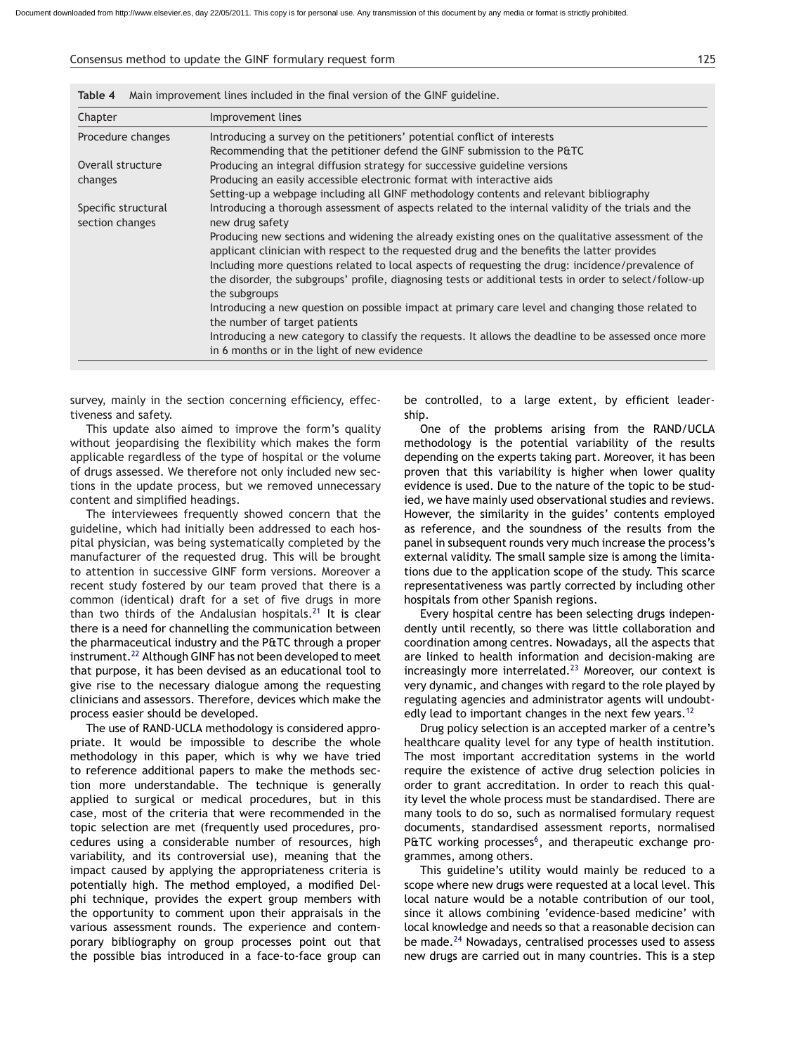#### <span id="page-4-0"></span>Consensus method to update the GINF formulary request form 125

| Chapter                                | Improvement lines                                                                                                                                                                                                             |
|----------------------------------------|-------------------------------------------------------------------------------------------------------------------------------------------------------------------------------------------------------------------------------|
| Procedure changes                      | Introducing a survey on the petitioners' potential conflict of interests                                                                                                                                                      |
|                                        | Recommending that the petitioner defend the GINF submission to the P&TC                                                                                                                                                       |
| Overall structure                      | Producing an integral diffusion strategy for successive guideline versions                                                                                                                                                    |
| changes                                | Producing an easily accessible electronic format with interactive aids                                                                                                                                                        |
|                                        | Setting-up a webpage including all GINF methodology contents and relevant bibliography                                                                                                                                        |
| Specific structural<br>section changes | Introducing a thorough assessment of aspects related to the internal validity of the trials and the<br>new drug safety                                                                                                        |
|                                        | Producing new sections and widening the already existing ones on the qualitative assessment of the<br>applicant clinician with respect to the requested drug and the benefits the latter provides                             |
|                                        | Including more questions related to local aspects of requesting the drug: incidence/prevalence of<br>the disorder, the subgroups' profile, diagnosing tests or additional tests in order to select/follow-up<br>the subgroups |
|                                        | Introducing a new question on possible impact at primary care level and changing those related to<br>the number of target patients                                                                                            |
|                                        | Introducing a new category to classify the requests. It allows the deadline to be assessed once more<br>in 6 months or in the light of new evidence                                                                           |

**Table 4** Main improvement lines included in the final version of the GINF guideline.

survey, mainly in the section concerning efficiency, effectiveness and safety.

This update also aimed to improve the form's quality without jeopardising the flexibility which makes the form applicable regardless of the type of hospital or the volume of drugs assessed. We therefore not only included new sections in the update process, but we removed unnecessary content and simplified headings.

The interviewees frequently showed concern that the guideline, which had initially been addressed to each hospital physician, was being systematically completed by the manufacturer of the requested drug. This will be brought to attention in successive GINF form versions. Moreover a recent study fostered by our team proved that there is a common (identical) draft for a set of five drugs in more than two thirds of the Andalusian hospitals.<sup>[21](#page-6-0)</sup> It is clear there is a need for channelling the communication between the pharmaceutical industry and the P&TC through a proper instrument.[22](#page-6-0) Although GINF has not been developed to meet that purpose, it has been devised as an educational tool to give rise to the necessary dialogue among the requesting clinicians and assessors. Therefore, devices which make the process easier should be developed.

The use of RAND-UCLA methodology is considered appropriate. It would be impossible to describe the whole methodology in this paper, which is why we have tried to reference additional papers to make the methods section more understandable. The technique is generally applied to surgical or medical procedures, but in this case, most of the criteria that were recommended in the topic selection are met (frequently used procedures, procedures using a considerable number of resources, high variability, and its controversial use), meaning that the impact caused by applying the appropriateness criteria is potentially high. The method employed, a modified Delphi technique, provides the expert group members with the opportunity to comment upon their appraisals in the various assessment rounds. The experience and contemporary bibliography on group processes point out that the possible bias introduced in a face-to-face group can be controlled, to a large extent, by efficient leadership.

One of the problems arising from the RAND/UCLA methodology is the potential variability of the results depending on the experts taking part. Moreover, it has been proven that this variability is higher when lower quality evidence is used. Due to the nature of the topic to be studied, we have mainly used observational studies and reviews. However, the similarity in the guides' contents employed as reference, and the soundness of the results from the panel in subsequent rounds very much increase the process's external validity. The small sample size is among the limitations due to the application scope of the study. This scarce representativeness was partly corrected by including other hospitals from other Spanish regions.

Every hospital centre has been selecting drugs independently until recently, so there was little collaboration and coordination among centres. Nowadays, all the aspects that are linked to health information and decision-making are increasingly more interrelated.[23](#page-6-0) Moreover, our context is very dynamic, and changes with regard to the role played by regulating agencies and administrator agents will undoubt-edly lead to important changes in the next few years.<sup>[12](#page-5-0)</sup>

Drug policy selection is an accepted marker of a centre's healthcare quality level for any type of health institution. The most important accreditation systems in the world require the existence of active drug selection policies in order to grant accreditation. In order to reach this quality level the whole process must be standardised. There are many tools to do so, such as normalised formulary request documents, standardised assessment reports, normalised P $ATC$  working processes<sup>6</sup>, and therapeutic exchange programmes, among others.

This guideline's utility would mainly be reduced to a scope where new drugs were requested at a local level. This local nature would be a notable contribution of our tool, since it allows combining 'evidence-based medicine' with local knowledge and needs so that a reasonable decision can be made.<sup>[24](#page-6-0)</sup> Nowadays, centralised processes used to assess new drugs are carried out in many countries. This is a step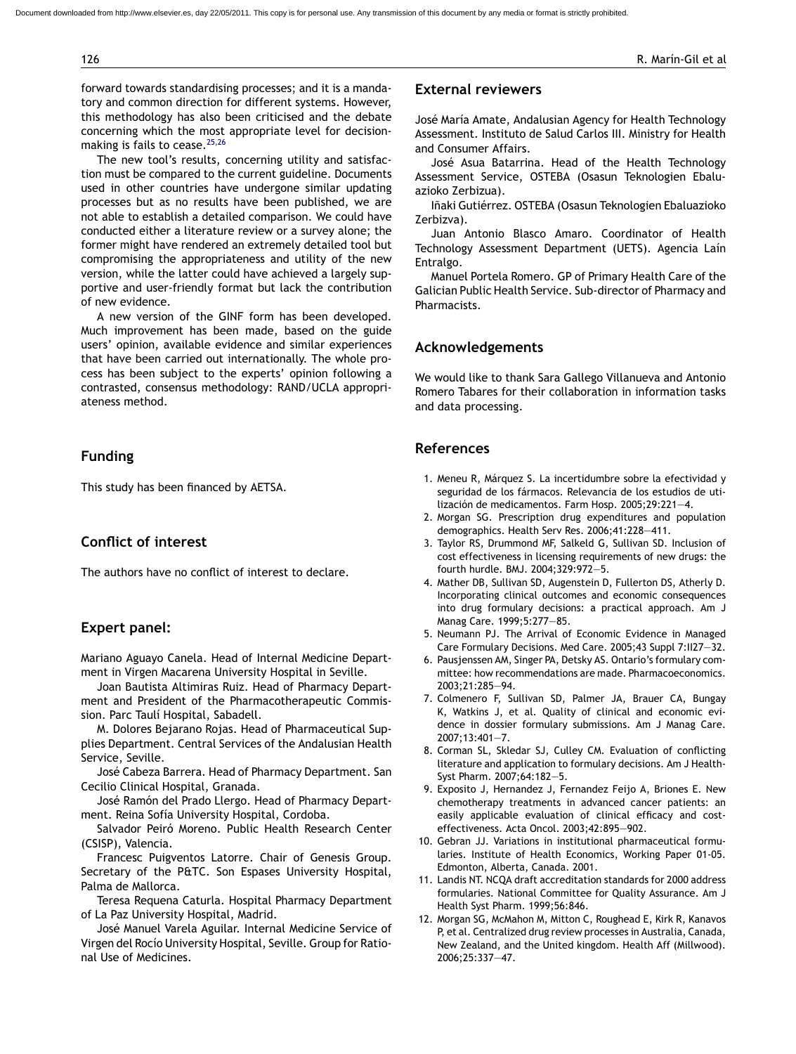<span id="page-5-0"></span>forward towards standardising processes; and it is a mandatory and common direction for different systems. However, this methodology has also been criticised and the debate concerning which the most appropriate level for decisionmaking is fails to cease. $25,26$ 

The new tool's results, concerning utility and satisfaction must be compared to the current guideline. Documents used in other countries have undergone similar updating processes but as no results have been published, we are not able to establish a detailed comparison. We could have conducted either a literature review or a survey alone; the former might have rendered an extremely detailed tool but compromising the appropriateness and utility of the new version, while the latter could have achieved a largely supportive and user-friendly format but lack the contribution of new evidence.

A new version of the GINF form has been developed. Much improvement has been made, based on the guide users' opinion, available evidence and similar experiences that have been carried out internationally. The whole process has been subject to the experts' opinion following a contrasted, consensus methodology: RAND/UCLA appropriateness method.

## **Funding**

This study has been financed by AETSA.

## **Conflict of interest**

The authors have no conflict of interest to declare.

## **Expert panel:**

Mariano Aguayo Canela. Head of Internal Medicine Department in Virgen Macarena University Hospital in Seville.

Joan Bautista Altimiras Ruiz. Head of Pharmacy Department and President of the Pharmacotherapeutic Commission. Parc Taulí Hospital, Sabadell.

M. Dolores Bejarano Rojas. Head of Pharmaceutical Supplies Department. Central Services of the Andalusian Health Service, Seville.

José Cabeza Barrera. Head of Pharmacy Department. San Cecilio Clinical Hospital, Granada.

José Ramón del Prado Llergo. Head of Pharmacy Department. Reina Sofía University Hospital, Cordoba.

Salvador Peiró Moreno. Public Health Research Center (CSISP), Valencia.

Francesc Puigventos Latorre. Chair of Genesis Group. Secretary of the P&TC. Son Espases University Hospital, Palma de Mallorca.

Teresa Requena Caturla. Hospital Pharmacy Department of La Paz University Hospital, Madrid.

José Manuel Varela Aguilar. Internal Medicine Service of Virgen del Rocío University Hospital, Seville. Group for Rational Use of Medicines.

## **External reviewers**

José María Amate, Andalusian Agency for Health Technology Assessment. Instituto de Salud Carlos III. Ministry for Health and Consumer Affairs.

José Asua Batarrina. Head of the Health Technology Assessment Service, OSTEBA (Osasun Teknologien Ebaluazioko Zerbizua).

Inaki Gutiérrez. OSTEBA (Osasun Teknologien Ebaluazioko ˜ Zerbizva).

Juan Antonio Blasco Amaro. Coordinator of Health Technology Assessment Department (UETS). Agencia Laín Entralgo.

Manuel Portela Romero. GP of Primary Health Care of the Galician Public Health Service. Sub-director of Pharmacy and Pharmacists.

## **Acknowledgements**

We would like to thank Sara Gallego Villanueva and Antonio Romero Tabares for their collaboration in information tasks and data processing.

## **References**

- 1. Meneu R, Márquez S. La incertidumbre sobre la efectividad y seguridad de los fármacos. Relevancia de los estudios de utilización de medicamentos. Farm Hosp. 2005;29:221—4.
- 2. Morgan SG. Prescription drug expenditures and population demographics. Health Serv Res. 2006;41:228—411.
- 3. Taylor RS, Drummond MF, Salkeld G, Sullivan SD. Inclusion of cost effectiveness in licensing requirements of new drugs: the fourth hurdle. BMJ. 2004;329:972—5.
- 4. Mather DB, Sullivan SD, Augenstein D, Fullerton DS, Atherly D. Incorporating clinical outcomes and economic consequences into drug formulary decisions: a practical approach. Am J Manag Care. 1999;5:277—85.
- 5. Neumann PJ. The Arrival of Economic Evidence in Managed Care Formulary Decisions. Med Care. 2005;43 Suppl 7:II27—32.
- 6. Pausjenssen AM, Singer PA, Detsky AS. Ontario's formulary committee: how recommendations are made. Pharmacoeconomics. 2003;21:285—94.
- 7. Colmenero F, Sullivan SD, Palmer JA, Brauer CA, Bungay K, Watkins J, et al. Quality of clinical and economic evidence in dossier formulary submissions. Am J Manag Care. 2007;13:401—7.
- 8. Corman SL, Skledar SJ, Culley CM. Evaluation of conflicting literature and application to formulary decisions. Am J Health-Syst Pharm. 2007;64:182—5.
- 9. Exposito J, Hernandez J, Fernandez Feijo A, Briones E. New chemotherapy treatments in advanced cancer patients: an easily applicable evaluation of clinical efficacy and costeffectiveness. Acta Oncol. 2003;42:895—902.
- 10. Gebran JJ. Variations in institutional pharmaceutical formularies. Institute of Health Economics, Working Paper 01-05. Edmonton, Alberta, Canada. 2001.
- 11. Landis NT. NCQA draft accreditation standards for 2000 address formularies. National Committee for Quality Assurance. Am J Health Syst Pharm. 1999;56:846.
- 12. Morgan SG, McMahon M, Mitton C, Roughead E, Kirk R, Kanavos P, et al. Centralized drug review processes in Australia, Canada, New Zealand, and the United kingdom. Health Aff (Millwood). 2006;25:337—47.